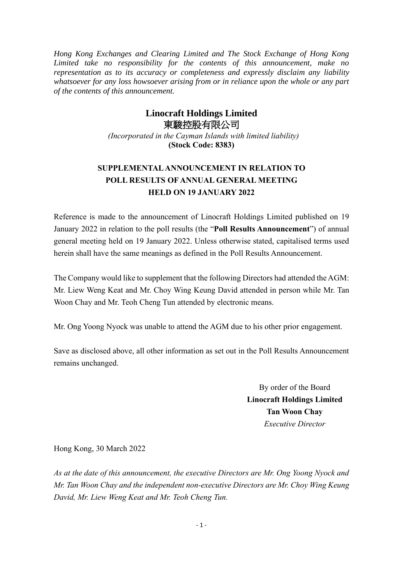*Hong Kong Exchanges and Clearing Limited and The Stock Exchange of Hong Kong Limited take no responsibility for the contents of this announcement, make no representation as to its accuracy or completeness and expressly disclaim any liability whatsoever for any loss howsoever arising from or in reliance upon the whole or any part of the contents of this announcement.*

## **Linocraft Holdings Limited** 東駿控股有限公司

*(Incorporated in the Cayman Islands with limited liability)* **(Stock Code: 8383)**

## **SUPPLEMENTALANNOUNCEMENT IN RELATION TO POLL RESULTS OF ANNUAL GENERAL MEETING HELD ON 19 JANUARY 2022**

Reference is made to the announcement of Linocraft Holdings Limited published on 19 January 2022 in relation to the poll results (the "**Poll Results Announcement**") of annual general meeting held on 19 January 2022. Unless otherwise stated, capitalised terms used herein shall have the same meanings as defined in the Poll Results Announcement.

The Company would like to supplement that the following Directors had attended the AGM: Mr. Liew Weng Keat and Mr. Choy Wing Keung David attended in person while Mr. Tan Woon Chay and Mr. Teoh Cheng Tun attended by electronic means.

Mr. Ong Yoong Nyock was unable to attend the AGM due to his other prior engagement.

Save as disclosed above, all other information as set out in the Poll Results Announcement remains unchanged.

> By order of the Board **Linocraft Holdings Limited Tan Woon Chay** *Executive Director*

Hong Kong, 30 March 2022

*As at the date of this announcement, the executive Directors are Mr. Ong Yoong Nyock and Mr. Tan Woon Chay and the independent non-executive Directors are Mr. Choy Wing Keung David, Mr. Liew Weng Keat and Mr. Teoh Cheng Tun.*